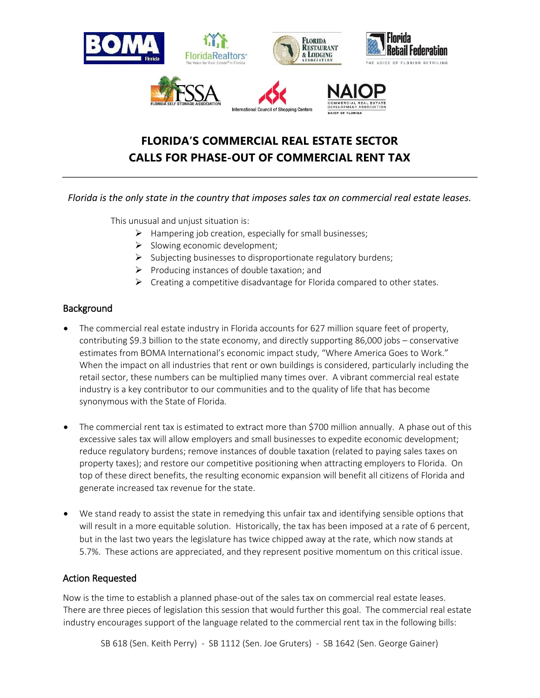

## **FLORIDA'S COMMERCIAL REAL ESTATE SECTOR CALLS FOR PHASE-OUT OF COMMERCIAL RENT TAX**

## *Florida is the only state in the country that imposes sales tax on commercial real estate leases.*

This unusual and unjust situation is:

- ➢ Hampering job creation, especially for small businesses;
- $\triangleright$  Slowing economic development;
- ➢ Subjecting businesses to disproportionate regulatory burdens;
- $\triangleright$  Producing instances of double taxation; and
- ➢ Creating a competitive disadvantage for Florida compared to other states.

## **Background**

- The commercial real estate industry in Florida accounts for 627 million square feet of property, contributing \$9.3 billion to the state economy, and directly supporting 86,000 jobs – conservative estimates from BOMA International's economic impact study, "Where America Goes to Work." When the impact on all industries that rent or own buildings is considered, particularly including the retail sector, these numbers can be multiplied many times over. A vibrant commercial real estate industry is a key contributor to our communities and to the quality of life that has become synonymous with the State of Florida.
- The commercial rent tax is estimated to extract more than \$700 million annually. A phase out of this excessive sales tax will allow employers and small businesses to expedite economic development; reduce regulatory burdens; remove instances of double taxation (related to paying sales taxes on property taxes); and restore our competitive positioning when attracting employers to Florida. On top of these direct benefits, the resulting economic expansion will benefit all citizens of Florida and generate increased tax revenue for the state.
- We stand ready to assist the state in remedying this unfair tax and identifying sensible options that will result in a more equitable solution. Historically, the tax has been imposed at a rate of 6 percent, but in the last two years the legislature has twice chipped away at the rate, which now stands at 5.7%. These actions are appreciated, and they represent positive momentum on this critical issue.

## Action Requested

Now is the time to establish a planned phase-out of the sales tax on commercial real estate leases. There are three pieces of legislation this session that would further this goal. The commercial real estate industry encourages support of the language related to the commercial rent tax in the following bills: